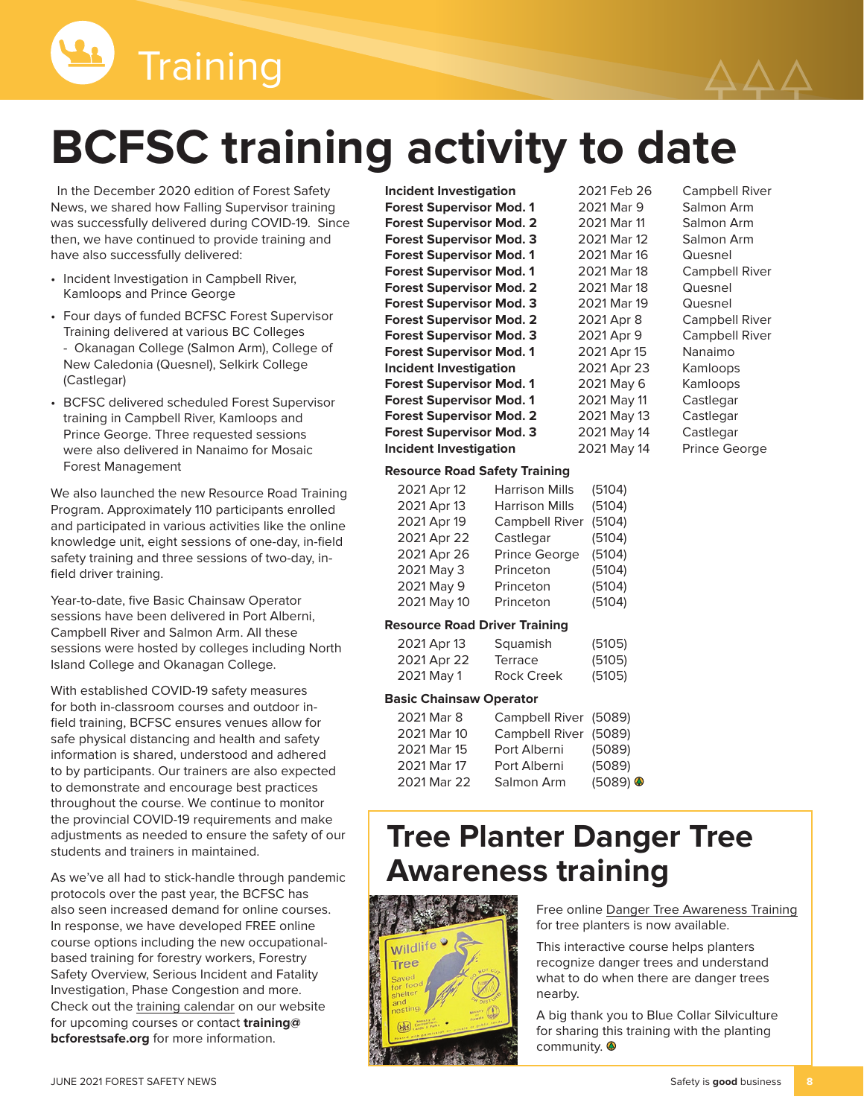

# **BCFSC training activity to date**

In the December 2020 edition of Forest Safety News, we shared how Falling Supervisor training was successfully delivered during COVID-19. Since then, we have continued to provide training and have also successfully delivered:

- Incident Investigation in Campbell River, Kamloops and Prince George
- Four days of funded BCFSC Forest Supervisor Training delivered at various BC Colleges - Okanagan College (Salmon Arm), College of New Caledonia (Quesnel), Selkirk College (Castlegar)
- BCFSC delivered scheduled Forest Supervisor training in Campbell River, Kamloops and Prince George. Three requested sessions were also delivered in Nanaimo for Mosaic Forest Management

We also launched the new Resource Road Training Program. Approximately 110 participants enrolled and participated in various activities like the online knowledge unit, eight sessions of one-day, in-field safety training and three sessions of two-day, infield driver training.

Year-to-date, five Basic Chainsaw Operator sessions have been delivered in Port Alberni, Campbell River and Salmon Arm. All these sessions were hosted by colleges including North Island College and Okanagan College.

With established COVID-19 safety measures for both in-classroom courses and outdoor infield training, BCFSC ensures venues allow for safe physical distancing and health and safety information is shared, understood and adhered to by participants. Our trainers are also expected to demonstrate and encourage best practices throughout the course. We continue to monitor the provincial COVID-19 requirements and make adjustments as needed to ensure the safety of our students and trainers in maintained.

As we've all had to stick-handle through pandemic protocols over the past year, the BCFSC has also seen increased demand for online courses. In response, we have developed FREE online course options including the new occupationalbased training for forestry workers, Forestry Safety Overview, Serious Incident and Fatality Investigation, Phase Congestion and more. Check out the [training calendar](https://www.bcforestsafe.org/forest-safety-training/calendar/) on our website for upcoming courses or contact **[training@](mailto:training%40bcforestsafe.org?subject=) [bcforestsafe.org](mailto:training%40bcforestsafe.org?subject=)** for more information.

**Incident Investigation** 2021 Feb 26 Campbell River Forest Supervisor Mod. 1 2021 Mar 9 Salmon Arm **Forest Supervisor Mod. 2** 2021 Mar 11 Salmon Arm **Forest Supervisor Mod. 3** 2021 Mar 12 Salmon Arm Forest Supervisor Mod. 1 2021 Mar 16 Quesnel **Forest Supervisor Mod. 1** 2021 Mar 18 Campbell River **Forest Supervisor Mod. 2** 2021 Mar 18 Quesnel<br>**Forest Supervisor Mod. 3** 2021 Mar 19 Quesnel **Forest Supervisor Mod. 3 Forest Supervisor Mod. 2** 2021 Apr 8 Campbell River **Forest Supervisor Mod. 3** 2021 Apr 9 Campbell River **Forest Supervisor Mod. 1** 2021 Apr 15 Nanaimo **Incident Investigation** 2021 Apr 23 Kamloops **Forest Supervisor Mod. 1** 2021 May 6 Kamloops **Forest Supervisor Mod. 1** 2021 May 11 Castlegar **Forest Supervisor Mod. 2** 2021 May 13 Castlegar **Forest Supervisor Mod. 3** 2021 May 14 Castlegar

### **Incident Investigation** 2021 May 14 Prince George **Resource Road Safety Training**

| 2021 Apr 12 | <b>Harrison Mills</b> | (5104) |
|-------------|-----------------------|--------|
| 2021 Apr 13 | <b>Harrison Mills</b> | (5104) |
| 2021 Apr 19 | <b>Campbell River</b> | (5104) |
| 2021 Apr 22 | Castlegar             | (5104) |
| 2021 Apr 26 | Prince George         | (5104) |
| 2021 May 3  | Princeton             | (5104) |
| 2021 May 9  | Princeton             | (5104) |
| 2021 May 10 | Princeton             | (5104) |
|             |                       |        |

#### **Resource Road Driver Training**

| 2021 Apr 13 | Squamish          | (5105) |
|-------------|-------------------|--------|
| 2021 Apr 22 | Terrace           | (5105) |
| 2021 May 1  | <b>Rock Creek</b> | (5105) |

#### **Basic Chainsaw Operator**

| 2021 Mar 8  | Campbell River (5089) |                        |
|-------------|-----------------------|------------------------|
| 2021 Mar 10 | Campbell River (5089) |                        |
| 2021 Mar 15 | Port Alberni          | (5089)                 |
| 2021 Mar 17 | Port Alberni          | (5089)                 |
| 2021 Mar 22 | Salmon Arm            | $(5089)$ $\circledast$ |

# **Tree Planter Danger Tree Awareness training**



Free online [Danger Tree Awareness Training](https://www.bcforestsafe.org/tree-planter-danger-tree-awareness-training/) for tree planters is now available.

This interactive course helps planters recognize danger trees and understand what to do when there are danger trees nearby.

A big thank you to Blue Collar Silviculture for sharing this training with the planting community.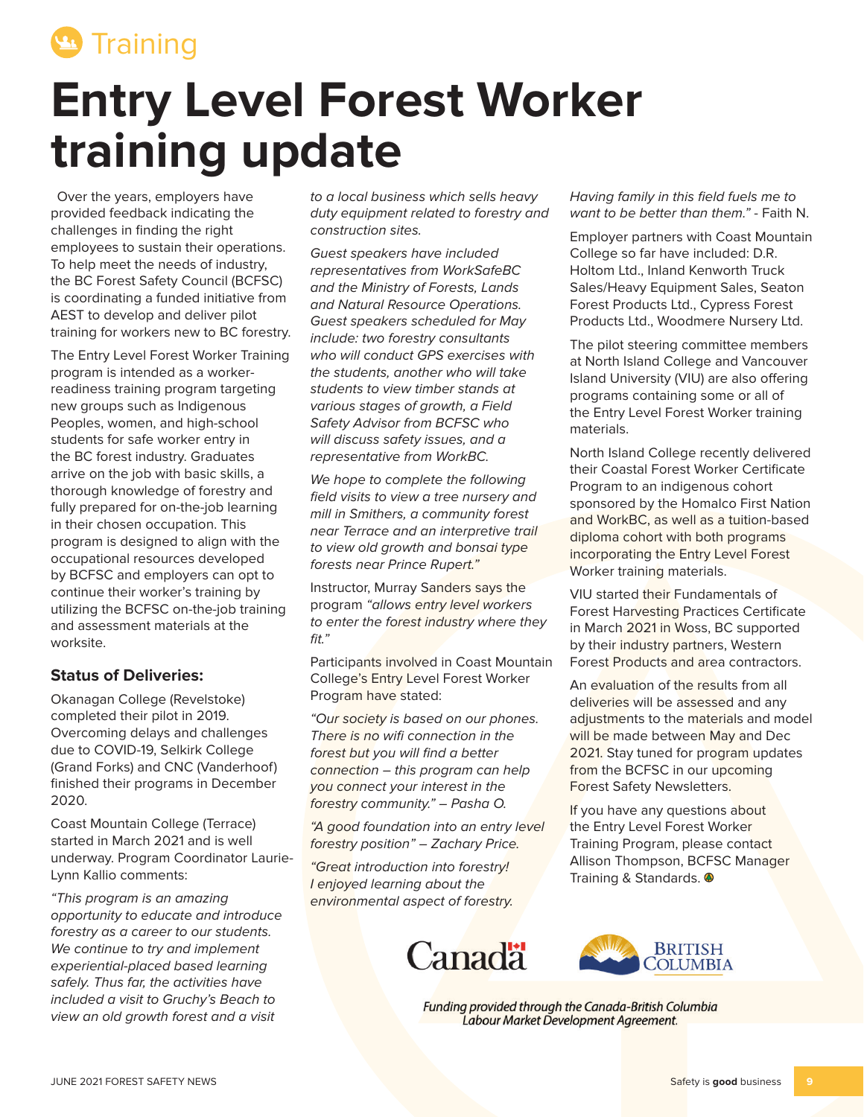

# **Entry Level Forest Worker training update**

Over the years, employers have provided feedback indicating the challenges in finding the right employees to sustain their operations. To help meet the needs of industry, the BC Forest Safety Council (BCFSC) is coordinating a funded initiative from AEST to develop and deliver pilot training for workers new to BC forestry.

The Entry Level Forest Worker Training program is intended as a workerreadiness training program targeting new groups such as Indigenous Peoples, women, and high-school students for safe worker entry in the BC forest industry. Graduates arrive on the job with basic skills, a thorough knowledge of forestry and fully prepared for on-the-job learning in their chosen occupation. This program is designed to align with the occupational resources developed by BCFSC and employers can opt to continue their worker's training by utilizing the BCFSC on-the-job training and assessment materials at the worksite.

#### **Status of Deliveries:**

Okanagan College (Revelstoke) completed their pilot in 2019. Overcoming delays and challenges due to COVID-19, Selkirk College (Grand Forks) and CNC (Vanderhoof) finished their programs in December 2020.

Coast Mountain College (Terrace) started in March 2021 and is well underway. Program Coordinator Laurie-Lynn Kallio comments:

"This program is an amazing opportunity to educate and introduce forestry as a career to our students. We continue to try and implement experiential-placed based learning safely. Thus far, the activities have included a visit to Gruchy's Beach to view an old growth forest and a visit

to a local business which sells heavy duty equipment related to forestry and construction sites.

Guest speakers have included representatives from WorkSafeBC and the Ministry of Forests, Lands and Natural Resource Operations. Guest speakers scheduled for May include: two forestry consultants who will conduct GPS exercises with the students, another who will take students to view timber stands at various stages of growth, a Field Safety Advisor from BCFSC who will discuss safety issues, and a representative from WorkBC.

We hope to complete the following field visits to view a tree nursery and mill in Smithers, a community forest near Terrace and an interpretive trail to view old growth and bonsai type forests near Prince Rupert."

Instructor, Murray Sanders says the program "allows entry level workers to enter the forest industry where they fit."

Participants involved in Coast Mountain College's Entry Level Forest Worker Program have stated:

"Our society is based on our phones. There is no wifi connection in the forest but you will find a better connection – this program can help you connect your interest in the forestry community." – Pasha O.

"A good foundation into an entry level forestry position" – Zachary Price.

"Great introduction into forestry! I enjoyed learning about the environmental aspect of forestry.





Funding provided through the Canada-British Columbia Labour Market Development Agreement.

Having family in this field fuels me to want to be better than them" - Faith N.

Employer partners with Coast Mountain College so far have included: D.R. Holtom Ltd., Inland Kenworth Truck Sales/Heavy Equipment Sales, Seaton Forest Products Ltd., Cypress Forest Products Ltd., Woodmere Nursery Ltd.

The pilot steering committee members at North Island College and Vancouver Island University (VIU) are also offering programs containing some or all of the Entry Level Forest Worker training materials.

North Island College recently delivered their Coastal Forest Worker Certificate Program to an indigenous cohort sponsored by the Homalco First Nation and WorkBC, as well as a tuition-based diploma cohort with both programs incorporating the Entry Level Forest Worker training materials.

VIU started their Fundamentals of Forest Harvesting Practices Certificate in March 2021 in Woss, BC supported by their industry partners, Western Forest Products and area contractors.

An evaluation of the results from all deliveries will be assessed and any adjustments to the materials and model will be made between May and Dec 2021. Stay tuned for program updates from the BCFSC in our upcoming Forest Safety Newsletters.

If you have any questions about the Entry Level Forest Worker Training Program, please contact Allison Thompson, BCFSC Manager Training & Standards.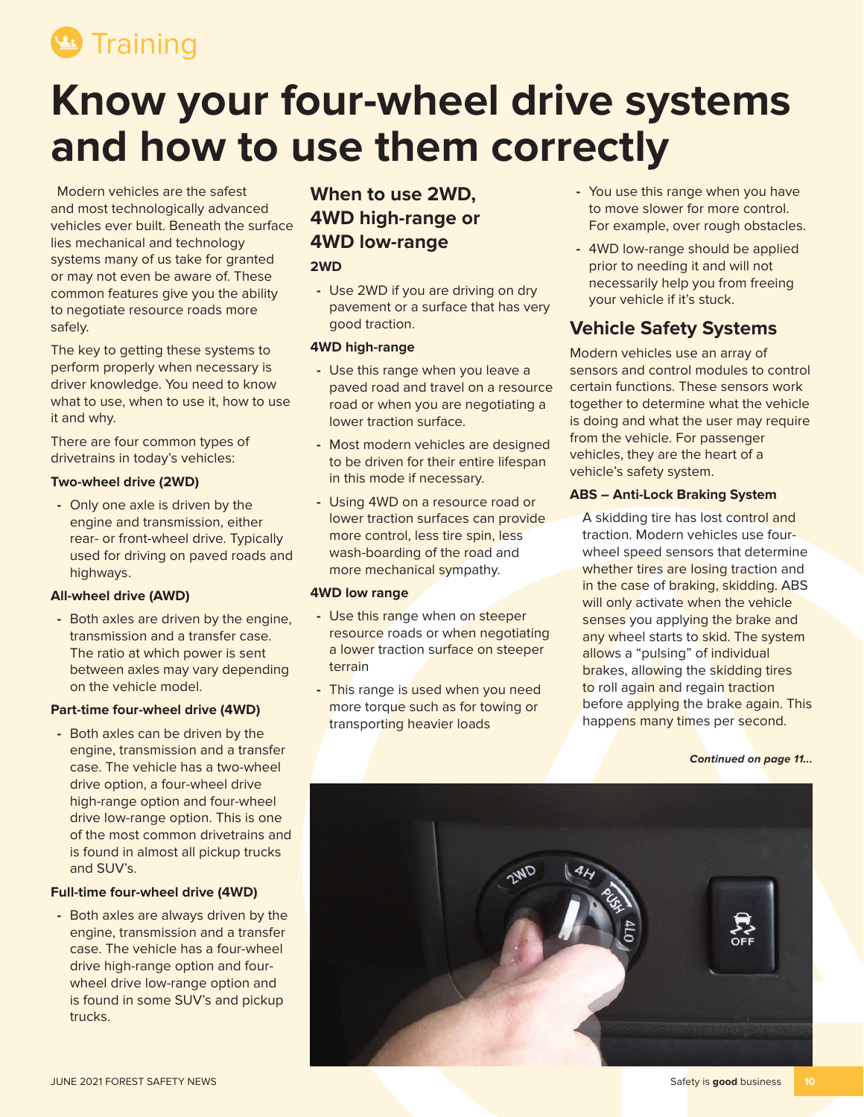<sup>9</sup> Training

# **Know your four-wheel drive systems and how to use them correctly**

Modern vehicles are the safest and most technologically advanced vehicles ever built. Beneath the surface lies mechanical and technology systems many of us take for granted or may not even be aware of. These common features give you the ability to negotiate resource roads more safely.

The key to getting these systems to perform properly when necessary is driver knowledge. You need to know what to use, when to use it, how to use it and why.

There are four common types of drivetrains in today's vehicles:

#### **Two-wheel drive (2WD)**

**-** Only one axle is driven by the engine and transmission, either rear- or front-wheel drive. Typically used for driving on paved roads and highways.

#### **All-wheel drive (AWD)**

**-** Both axles are driven by the engine, transmission and a transfer case. The ratio at which power is sent between axles may vary depending on the vehicle model.

#### **Part-time four-wheel drive (4WD)**

**-** Both axles can be driven by the engine, transmission and a transfer case. The vehicle has a two-wheel drive option, a four-wheel drive high-range option and four-wheel drive low-range option. This is one of the most common drivetrains and is found in almost all pickup trucks and SUV's.

#### **Full-time four-wheel drive (4WD)**

**-** Both axles are always driven by the engine, transmission and a transfer case. The vehicle has a four-wheel drive high-range option and fourwheel drive low-range option and is found in some SUV's and pickup trucks.

# **When to use 2WD, 4WD high-range or 4WD low-range**

#### **2WD**

**-** Use 2WD if you are driving on dry pavement or a surface that has very good traction.

#### **4WD high-range**

- **-** Use this range when you leave a paved road and travel on a resource road or when you are negotiating a lower traction surface.
- **-** Most modern vehicles are designed to be driven for their entire lifespan in this mode if necessary.
- **-** Using 4WD on a resource road or lower traction surfaces can provide more control, less tire spin, less wash-boarding of the road and more mechanical sympathy.

#### **4WD low range**

- **-** Use this range when on steeper resource roads or when negotiating a lower traction surface on steeper terrain
- **-** This range is used when you need more torque such as for towing or transporting heavier loads
- **-** You use this range when you have to move slower for more control. For example, over rough obstacles.
- **-** 4WD low-range should be applied prior to needing it and will not necessarily help you from freeing your vehicle if it's stuck.

### **Vehicle Safety Systems**

Modern vehicles use an array of sensors and control modules to control certain functions. These sensors work together to determine what the vehicle is doing and what the user may require from the vehicle. For passenger vehicles, they are the heart of a vehicle's safety system.

#### **ABS – Anti-Lock Braking System**

A skidding tire has lost control and traction. Modern vehicles use fourwheel speed sensors that determine whether tires are losing traction and in the case of braking, skidding. ABS will only activate when the vehicle senses you applying the brake and any wheel starts to skid. The system allows a "pulsing" of individual brakes, allowing the skidding tires to roll again and regain traction before applying the brake again. This happens many times per second.

#### **Continued on page 11...**